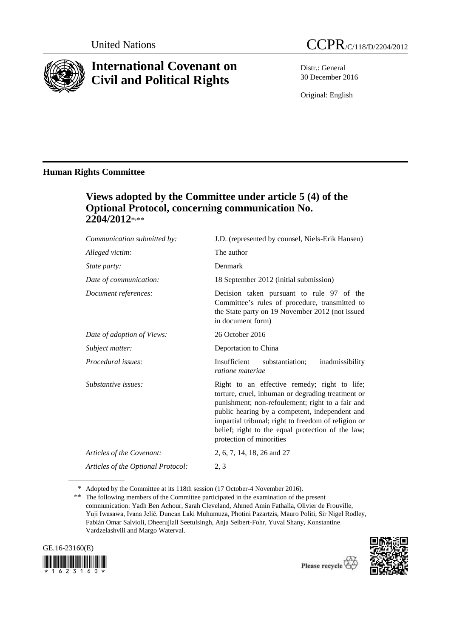

# **International Covenant on Civil and Political Rights**



Distr.: General 30 December 2016

Original: English

## **Human Rights Committee**

# **Views adopted by the Committee under article 5 (4) of the Optional Protocol, concerning communication No.**  2204/2012\*<sub>\*\*\*</sub>

| Communication submitted by:        | J.D. (represented by counsel, Niels-Erik Hansen)                                                                                                                                                                                                                                                                                                |
|------------------------------------|-------------------------------------------------------------------------------------------------------------------------------------------------------------------------------------------------------------------------------------------------------------------------------------------------------------------------------------------------|
| Alleged victim:                    | The author                                                                                                                                                                                                                                                                                                                                      |
| State party:                       | Denmark                                                                                                                                                                                                                                                                                                                                         |
| Date of communication:             | 18 September 2012 (initial submission)                                                                                                                                                                                                                                                                                                          |
| Document references:               | Decision taken pursuant to rule 97 of the<br>Committee's rules of procedure, transmitted to<br>the State party on 19 November 2012 (not issued<br>in document form)                                                                                                                                                                             |
| Date of adoption of Views:         | 26 October 2016                                                                                                                                                                                                                                                                                                                                 |
| Subject matter:                    | Deportation to China                                                                                                                                                                                                                                                                                                                            |
| Procedural issues:                 | Insufficient<br>substantiation;<br>inadmissibility<br>ratione materiae                                                                                                                                                                                                                                                                          |
| Substantive issues:                | Right to an effective remedy; right to life;<br>torture, cruel, inhuman or degrading treatment or<br>punishment; non-refoulement; right to a fair and<br>public hearing by a competent, independent and<br>impartial tribunal; right to freedom of religion or<br>belief; right to the equal protection of the law;<br>protection of minorities |
| Articles of the Covenant:          | 2, 6, 7, 14, 18, 26 and 27                                                                                                                                                                                                                                                                                                                      |
| Articles of the Optional Protocol: | 2, 3                                                                                                                                                                                                                                                                                                                                            |

<sup>\*</sup> Adopted by the Committee at its 118th session (17 October-4 November 2016).

<sup>\*\*</sup> The following members of the Committee participated in the examination of the present communication: Yadh Ben Achour, Sarah Cleveland, Ahmed Amin Fathalla, Olivier de Frouville, Yuji Iwasawa, Ivana Jelić, Duncan Laki Muhumuza, Photini Pazartzis, Mauro Politi, Sir Nigel Rodley, Fabián Omar Salvioli, Dheerujlall Seetulsingh, Anja Seibert-Fohr, Yuval Shany, Konstantine Vardzelashvili and Margo Waterval.





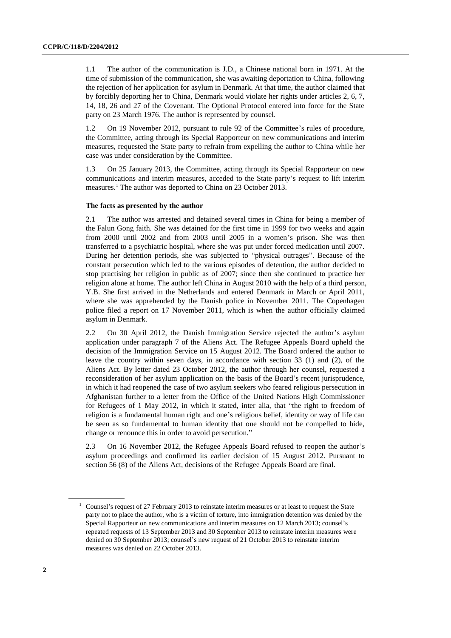1.1 The author of the communication is J.D., a Chinese national born in 1971. At the time of submission of the communication, she was awaiting deportation to China, following the rejection of her application for asylum in Denmark. At that time, the author claimed that by forcibly deporting her to China, Denmark would violate her rights under articles 2, 6, 7, 14, 18, 26 and 27 of the Covenant. The Optional Protocol entered into force for the State party on 23 March 1976. The author is represented by counsel.

1.2 On 19 November 2012, pursuant to rule 92 of the Committee's rules of procedure, the Committee, acting through its Special Rapporteur on new communications and interim measures, requested the State party to refrain from expelling the author to China while her case was under consideration by the Committee.

1.3 On 25 January 2013, the Committee, acting through its Special Rapporteur on new communications and interim measures, acceded to the State party's request to lift interim measures.<sup>1</sup> The author was deported to China on 23 October 2013.

#### **The facts as presented by the author**

2.1 The author was arrested and detained several times in China for being a member of the Falun Gong faith. She was detained for the first time in 1999 for two weeks and again from 2000 until 2002 and from 2003 until 2005 in a women's prison. She was then transferred to a psychiatric hospital, where she was put under forced medication until 2007. During her detention periods, she was subjected to "physical outrages". Because of the constant persecution which led to the various episodes of detention, the author decided to stop practising her religion in public as of 2007; since then she continued to practice her religion alone at home. The author left China in August 2010 with the help of a third person, Y.B. She first arrived in the Netherlands and entered Denmark in March or April 2011, where she was apprehended by the Danish police in November 2011. The Copenhagen police filed a report on 17 November 2011, which is when the author officially claimed asylum in Denmark.

2.2 On 30 April 2012, the Danish Immigration Service rejected the author's asylum application under paragraph 7 of the Aliens Act. The Refugee Appeals Board upheld the decision of the Immigration Service on 15 August 2012. The Board ordered the author to leave the country within seven days, in accordance with section 33 (1) and (2), of the Aliens Act. By letter dated 23 October 2012, the author through her counsel, requested a reconsideration of her asylum application on the basis of the Board's recent jurisprudence, in which it had reopened the case of two asylum seekers who feared religious persecution in Afghanistan further to a letter from the Office of the United Nations High Commissioner for Refugees of 1 May 2012, in which it stated, inter alia, that "the right to freedom of religion is a fundamental human right and one's religious belief, identity or way of life can be seen as so fundamental to human identity that one should not be compelled to hide, change or renounce this in order to avoid persecution."

2.3 On 16 November 2012, the Refugee Appeals Board refused to reopen the author's asylum proceedings and confirmed its earlier decision of 15 August 2012. Pursuant to section 56 (8) of the Aliens Act, decisions of the Refugee Appeals Board are final.

Counsel's request of 27 February 2013 to reinstate interim measures or at least to request the State party not to place the author, who is a victim of torture, into immigration detention was denied by the Special Rapporteur on new communications and interim measures on 12 March 2013; counsel's repeated requests of 13 September 2013 and 30 September 2013 to reinstate interim measures were denied on 30 September 2013; counsel's new request of 21 October 2013 to reinstate interim measures was denied on 22 October 2013.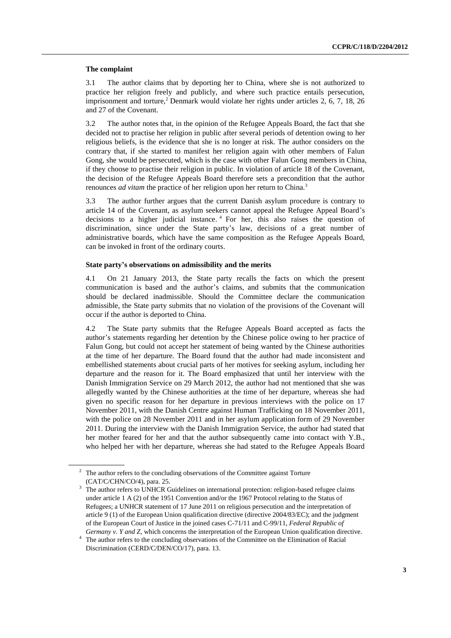#### **The complaint**

3.1 The author claims that by deporting her to China, where she is not authorized to practice her religion freely and publicly, and where such practice entails persecution, imprisonment and torture,<sup>2</sup> Denmark would violate her rights under articles 2, 6, 7, 18, 26 and 27 of the Covenant.

3.2 The author notes that, in the opinion of the Refugee Appeals Board, the fact that she decided not to practise her religion in public after several periods of detention owing to her religious beliefs, is the evidence that she is no longer at risk. The author considers on the contrary that, if she started to manifest her religion again with other members of Falun Gong, she would be persecuted, which is the case with other Falun Gong members in China, if they choose to practise their religion in public. In violation of article 18 of the Covenant, the decision of the Refugee Appeals Board therefore sets a precondition that the author renounces *ad vitam* the practice of her religion upon her return to China.<sup>3</sup>

3.3 The author further argues that the current Danish asylum procedure is contrary to article 14 of the Covenant, as asylum seekers cannot appeal the Refugee Appeal Board's decisions to a higher judicial instance.  $4$  For her, this also raises the question of discrimination, since under the State party's law, decisions of a great number of administrative boards, which have the same composition as the Refugee Appeals Board, can be invoked in front of the ordinary courts.

#### **State party's observations on admissibility and the merits**

4.1 On 21 January 2013, the State party recalls the facts on which the present communication is based and the author's claims, and submits that the communication should be declared inadmissible. Should the Committee declare the communication admissible, the State party submits that no violation of the provisions of the Covenant will occur if the author is deported to China.

4.2 The State party submits that the Refugee Appeals Board accepted as facts the author's statements regarding her detention by the Chinese police owing to her practice of Falun Gong, but could not accept her statement of being wanted by the Chinese authorities at the time of her departure. The Board found that the author had made inconsistent and embellished statements about crucial parts of her motives for seeking asylum, including her departure and the reason for it. The Board emphasized that until her interview with the Danish Immigration Service on 29 March 2012, the author had not mentioned that she was allegedly wanted by the Chinese authorities at the time of her departure, whereas she had given no specific reason for her departure in previous interviews with the police on 17 November 2011, with the Danish Centre against Human Trafficking on 18 November 2011, with the police on 28 November 2011 and in her asylum application form of 29 November 2011. During the interview with the Danish Immigration Service, the author had stated that her mother feared for her and that the author subsequently came into contact with Y.B., who helped her with her departure, whereas she had stated to the Refugee Appeals Board

 $2\degree$  The author refers to the concluding observations of the Committee against Torture (CAT/C/CHN/CO/4), para. 25.

<sup>&</sup>lt;sup>3</sup> The author refers to UNHCR Guidelines on international protection: religion-based refugee claims under article 1 A (2) of the 1951 Convention and/or the 1967 Protocol relating to the Status of Refugees; a UNHCR statement of 17 June 2011 on religious persecution and the interpretation of article 9 (1) of the European Union qualification directive (directive 2004/83/EC); and the judgment of the European Court of Justice in the joined cases C-71/11 and C-99/11, *Federal Republic of Germany v. Y and Z*, which concerns the interpretation of the European Union qualification directive.

<sup>&</sup>lt;sup>4</sup> The author refers to the concluding observations of the Committee on the Elimination of Racial Discrimination (CERD/C/DEN/CO/17), para. 13.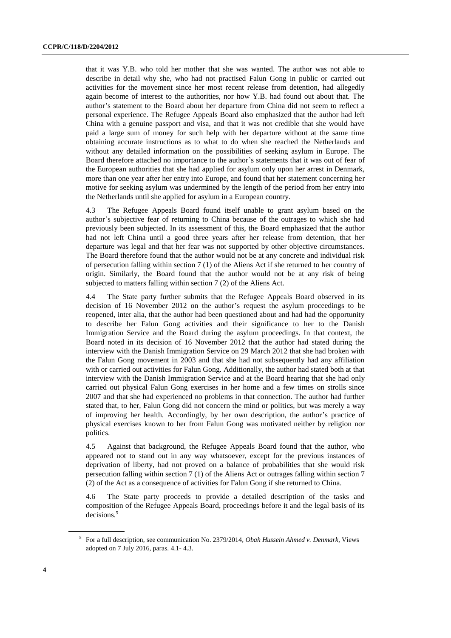that it was Y.B. who told her mother that she was wanted. The author was not able to describe in detail why she, who had not practised Falun Gong in public or carried out activities for the movement since her most recent release from detention, had allegedly again become of interest to the authorities, nor how Y.B. had found out about that. The author's statement to the Board about her departure from China did not seem to reflect a personal experience. The Refugee Appeals Board also emphasized that the author had left China with a genuine passport and visa, and that it was not credible that she would have paid a large sum of money for such help with her departure without at the same time obtaining accurate instructions as to what to do when she reached the Netherlands and without any detailed information on the possibilities of seeking asylum in Europe. The Board therefore attached no importance to the author's statements that it was out of fear of the European authorities that she had applied for asylum only upon her arrest in Denmark, more than one year after her entry into Europe, and found that her statement concerning her motive for seeking asylum was undermined by the length of the period from her entry into the Netherlands until she applied for asylum in a European country.

4.3 The Refugee Appeals Board found itself unable to grant asylum based on the author's subjective fear of returning to China because of the outrages to which she had previously been subjected. In its assessment of this, the Board emphasized that the author had not left China until a good three years after her release from detention, that her departure was legal and that her fear was not supported by other objective circumstances. The Board therefore found that the author would not be at any concrete and individual risk of persecution falling within section 7 (1) of the Aliens Act if she returned to her country of origin. Similarly, the Board found that the author would not be at any risk of being subjected to matters falling within section 7 (2) of the Aliens Act.

4.4 The State party further submits that the Refugee Appeals Board observed in its decision of 16 November 2012 on the author's request the asylum proceedings to be reopened, inter alia, that the author had been questioned about and had had the opportunity to describe her Falun Gong activities and their significance to her to the Danish Immigration Service and the Board during the asylum proceedings. In that context, the Board noted in its decision of 16 November 2012 that the author had stated during the interview with the Danish Immigration Service on 29 March 2012 that she had broken with the Falun Gong movement in 2003 and that she had not subsequently had any affiliation with or carried out activities for Falun Gong. Additionally, the author had stated both at that interview with the Danish Immigration Service and at the Board hearing that she had only carried out physical Falun Gong exercises in her home and a few times on strolls since 2007 and that she had experienced no problems in that connection. The author had further stated that, to her, Falun Gong did not concern the mind or politics, but was merely a way of improving her health. Accordingly, by her own description, the author's practice of physical exercises known to her from Falun Gong was motivated neither by religion nor politics.

4.5 Against that background, the Refugee Appeals Board found that the author, who appeared not to stand out in any way whatsoever, except for the previous instances of deprivation of liberty, had not proved on a balance of probabilities that she would risk persecution falling within section 7 (1) of the Aliens Act or outrages falling within section 7 (2) of the Act as a consequence of activities for Falun Gong if she returned to China.

4.6 The State party proceeds to provide a detailed description of the tasks and composition of the Refugee Appeals Board, proceedings before it and the legal basis of its decisions.<sup>5</sup>

<sup>5</sup> For a full description, see communication No. 2379/2014, *Obah Hussein Ahmed v. Denmark*, Views adopted on 7 July 2016, paras. 4.1- 4.3.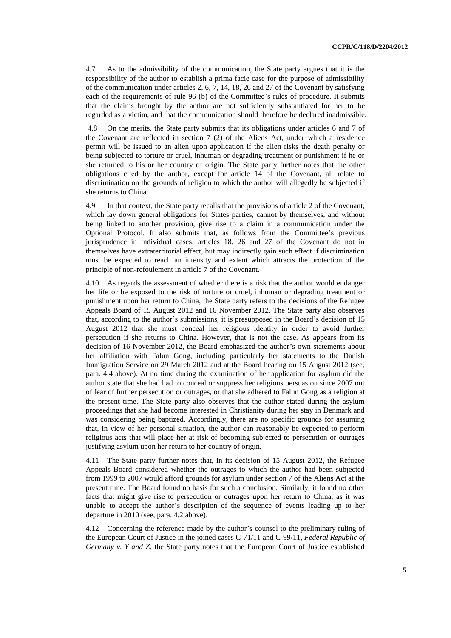4.7 As to the admissibility of the communication, the State party argues that it is the responsibility of the author to establish a prima facie case for the purpose of admissibility of the communication under articles 2, 6, 7, 14, 18, 26 and 27 of the Covenant by satisfying each of the requirements of rule 96 (b) of the Committee's rules of procedure. It submits that the claims brought by the author are not sufficiently substantiated for her to be regarded as a victim, and that the communication should therefore be declared inadmissible.

4.8 On the merits, the State party submits that its obligations under articles 6 and 7 of the Covenant are reflected in section 7 (2) of the Aliens Act, under which a residence permit will be issued to an alien upon application if the alien risks the death penalty or being subjected to torture or cruel, inhuman or degrading treatment or punishment if he or she returned to his or her country of origin. The State party further notes that the other obligations cited by the author, except for article 14 of the Covenant, all relate to discrimination on the grounds of religion to which the author will allegedly be subjected if she returns to China.

4.9 In that context, the State party recalls that the provisions of article 2 of the Covenant, which lay down general obligations for States parties, cannot by themselves, and without being linked to another provision, give rise to a claim in a communication under the Optional Protocol. It also submits that, as follows from the Committee's previous jurisprudence in individual cases, articles 18, 26 and 27 of the Covenant do not in themselves have extraterritorial effect, but may indirectly gain such effect if discrimination must be expected to reach an intensity and extent which attracts the protection of the principle of non-refoulement in article 7 of the Covenant.

4.10 As regards the assessment of whether there is a risk that the author would endanger her life or be exposed to the risk of torture or cruel, inhuman or degrading treatment or punishment upon her return to China, the State party refers to the decisions of the Refugee Appeals Board of 15 August 2012 and 16 November 2012. The State party also observes that, according to the author's submissions, it is presupposed in the Board's decision of 15 August 2012 that she must conceal her religious identity in order to avoid further persecution if she returns to China. However, that is not the case. As appears from its decision of 16 November 2012, the Board emphasized the author's own statements about her affiliation with Falun Gong, including particularly her statements to the Danish Immigration Service on 29 March 2012 and at the Board hearing on 15 August 2012 (see, para. 4.4 above). At no time during the examination of her application for asylum did the author state that she had had to conceal or suppress her religious persuasion since 2007 out of fear of further persecution or outrages, or that she adhered to Falun Gong as a religion at the present time. The State party also observes that the author stated during the asylum proceedings that she had become interested in Christianity during her stay in Denmark and was considering being baptized. Accordingly, there are no specific grounds for assuming that, in view of her personal situation, the author can reasonably be expected to perform religious acts that will place her at risk of becoming subjected to persecution or outrages justifying asylum upon her return to her country of origin.

4.11 The State party further notes that, in its decision of 15 August 2012, the Refugee Appeals Board considered whether the outrages to which the author had been subjected from 1999 to 2007 would afford grounds for asylum under section 7 of the Aliens Act at the present time. The Board found no basis for such a conclusion. Similarly, it found no other facts that might give rise to persecution or outrages upon her return to China, as it was unable to accept the author's description of the sequence of events leading up to her departure in 2010 (see, para. 4.2 above).

4.12 Concerning the reference made by the author's counsel to the preliminary ruling of the European Court of Justice in the joined cases C-71/11 and C-99/11, *Federal Republic of Germany v. Y and Z*, the State party notes that the European Court of Justice established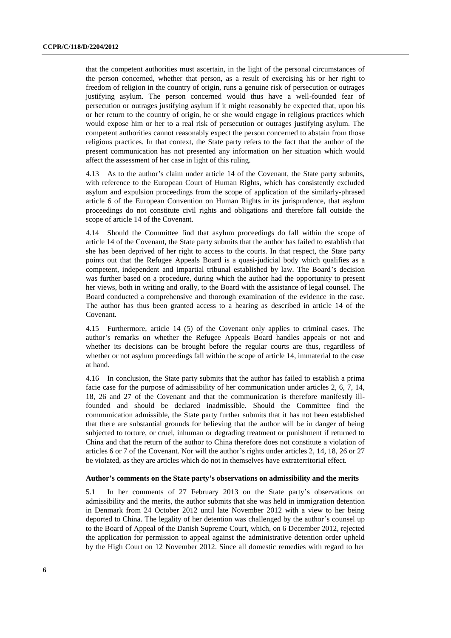that the competent authorities must ascertain, in the light of the personal circumstances of the person concerned, whether that person, as a result of exercising his or her right to freedom of religion in the country of origin, runs a genuine risk of persecution or outrages justifying asylum. The person concerned would thus have a well-founded fear of persecution or outrages justifying asylum if it might reasonably be expected that, upon his or her return to the country of origin, he or she would engage in religious practices which would expose him or her to a real risk of persecution or outrages justifying asylum. The competent authorities cannot reasonably expect the person concerned to abstain from those religious practices. In that context, the State party refers to the fact that the author of the present communication has not presented any information on her situation which would affect the assessment of her case in light of this ruling.

4.13 As to the author's claim under article 14 of the Covenant, the State party submits, with reference to the European Court of Human Rights, which has consistently excluded asylum and expulsion proceedings from the scope of application of the similarly-phrased article 6 of the European Convention on Human Rights in its jurisprudence, that asylum proceedings do not constitute civil rights and obligations and therefore fall outside the scope of article 14 of the Covenant.

4.14 Should the Committee find that asylum proceedings do fall within the scope of article 14 of the Covenant, the State party submits that the author has failed to establish that she has been deprived of her right to access to the courts. In that respect, the State party points out that the Refugee Appeals Board is a quasi-judicial body which qualifies as a competent, independent and impartial tribunal established by law. The Board's decision was further based on a procedure, during which the author had the opportunity to present her views, both in writing and orally, to the Board with the assistance of legal counsel. The Board conducted a comprehensive and thorough examination of the evidence in the case. The author has thus been granted access to a hearing as described in article 14 of the Covenant.

4.15 Furthermore, article 14 (5) of the Covenant only applies to criminal cases. The author's remarks on whether the Refugee Appeals Board handles appeals or not and whether its decisions can be brought before the regular courts are thus, regardless of whether or not asylum proceedings fall within the scope of article 14, immaterial to the case at hand.

4.16 In conclusion, the State party submits that the author has failed to establish a prima facie case for the purpose of admissibility of her communication under articles 2, 6, 7, 14, 18, 26 and 27 of the Covenant and that the communication is therefore manifestly illfounded and should be declared inadmissible. Should the Committee find the communication admissible, the State party further submits that it has not been established that there are substantial grounds for believing that the author will be in danger of being subjected to torture, or cruel, inhuman or degrading treatment or punishment if returned to China and that the return of the author to China therefore does not constitute a violation of articles 6 or 7 of the Covenant. Nor will the author's rights under articles 2, 14, 18, 26 or 27 be violated, as they are articles which do not in themselves have extraterritorial effect.

#### **Author's comments on the State party's observations on admissibility and the merits**

5.1 In her comments of 27 February 2013 on the State party's observations on admissibility and the merits, the author submits that she was held in immigration detention in Denmark from 24 October 2012 until late November 2012 with a view to her being deported to China. The legality of her detention was challenged by the author's counsel up to the Board of Appeal of the Danish Supreme Court, which, on 6 December 2012, rejected the application for permission to appeal against the administrative detention order upheld by the High Court on 12 November 2012. Since all domestic remedies with regard to her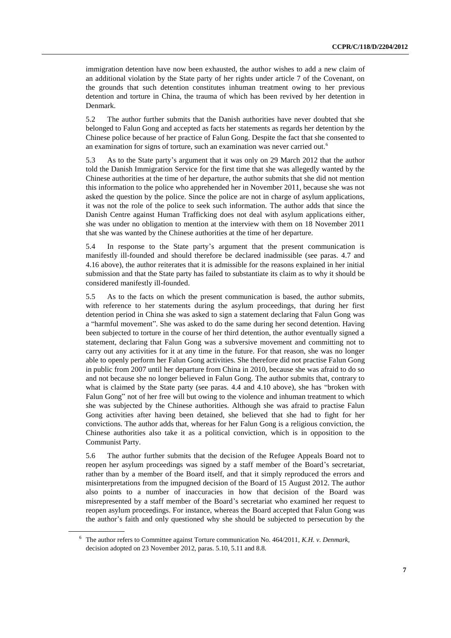immigration detention have now been exhausted, the author wishes to add a new claim of an additional violation by the State party of her rights under article 7 of the Covenant, on the grounds that such detention constitutes inhuman treatment owing to her previous detention and torture in China, the trauma of which has been revived by her detention in Denmark.

5.2 The author further submits that the Danish authorities have never doubted that she belonged to Falun Gong and accepted as facts her statements as regards her detention by the Chinese police because of her practice of Falun Gong. Despite the fact that she consented to an examination for signs of torture, such an examination was never carried out.<sup>6</sup>

5.3 As to the State party's argument that it was only on 29 March 2012 that the author told the Danish Immigration Service for the first time that she was allegedly wanted by the Chinese authorities at the time of her departure, the author submits that she did not mention this information to the police who apprehended her in November 2011, because she was not asked the question by the police. Since the police are not in charge of asylum applications, it was not the role of the police to seek such information. The author adds that since the Danish Centre against Human Trafficking does not deal with asylum applications either, she was under no obligation to mention at the interview with them on 18 November 2011 that she was wanted by the Chinese authorities at the time of her departure.

5.4 In response to the State party's argument that the present communication is manifestly ill-founded and should therefore be declared inadmissible (see paras. 4.7 and 4.16 above), the author reiterates that it is admissible for the reasons explained in her initial submission and that the State party has failed to substantiate its claim as to why it should be considered manifestly ill-founded.

5.5 As to the facts on which the present communication is based, the author submits, with reference to her statements during the asylum proceedings, that during her first detention period in China she was asked to sign a statement declaring that Falun Gong was a "harmful movement". She was asked to do the same during her second detention. Having been subjected to torture in the course of her third detention, the author eventually signed a statement, declaring that Falun Gong was a subversive movement and committing not to carry out any activities for it at any time in the future. For that reason, she was no longer able to openly perform her Falun Gong activities. She therefore did not practise Falun Gong in public from 2007 until her departure from China in 2010, because she was afraid to do so and not because she no longer believed in Falun Gong. The author submits that, contrary to what is claimed by the State party (see paras. 4.4 and 4.10 above), she has "broken with Falun Gong" not of her free will but owing to the violence and inhuman treatment to which she was subjected by the Chinese authorities. Although she was afraid to practise Falun Gong activities after having been detained, she believed that she had to fight for her convictions. The author adds that, whereas for her Falun Gong is a religious conviction, the Chinese authorities also take it as a political conviction, which is in opposition to the Communist Party.

5.6 The author further submits that the decision of the Refugee Appeals Board not to reopen her asylum proceedings was signed by a staff member of the Board's secretariat, rather than by a member of the Board itself, and that it simply reproduced the errors and misinterpretations from the impugned decision of the Board of 15 August 2012. The author also points to a number of inaccuracies in how that decision of the Board was misrepresented by a staff member of the Board's secretariat who examined her request to reopen asylum proceedings. For instance, whereas the Board accepted that Falun Gong was the author's faith and only questioned why she should be subjected to persecution by the

<sup>6</sup> The author refers to Committee against Torture communication No. 464/2011, *K.H. v. Denmark*, decision adopted on 23 November 2012, paras. 5.10, 5.11 and 8.8.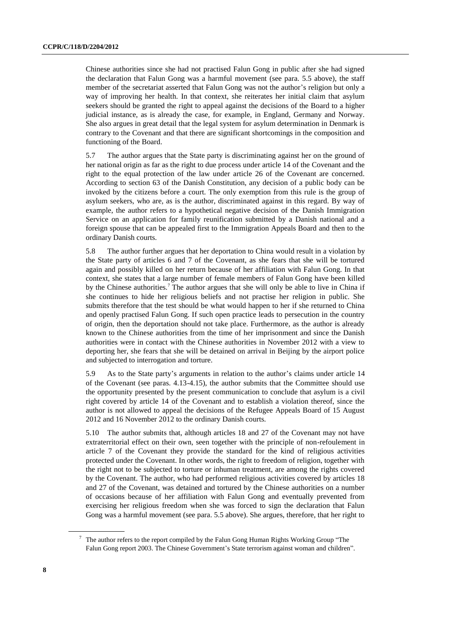Chinese authorities since she had not practised Falun Gong in public after she had signed the declaration that Falun Gong was a harmful movement (see para. 5.5 above), the staff member of the secretariat asserted that Falun Gong was not the author's religion but only a way of improving her health. In that context, she reiterates her initial claim that asylum seekers should be granted the right to appeal against the decisions of the Board to a higher judicial instance, as is already the case, for example, in England, Germany and Norway. She also argues in great detail that the legal system for asylum determination in Denmark is contrary to the Covenant and that there are significant shortcomings in the composition and functioning of the Board.

5.7 The author argues that the State party is discriminating against her on the ground of her national origin as far as the right to due process under article 14 of the Covenant and the right to the equal protection of the law under article 26 of the Covenant are concerned. According to section 63 of the Danish Constitution, any decision of a public body can be invoked by the citizens before a court. The only exemption from this rule is the group of asylum seekers, who are, as is the author, discriminated against in this regard. By way of example, the author refers to a hypothetical negative decision of the Danish Immigration Service on an application for family reunification submitted by a Danish national and a foreign spouse that can be appealed first to the Immigration Appeals Board and then to the ordinary Danish courts.

5.8 The author further argues that her deportation to China would result in a violation by the State party of articles 6 and 7 of the Covenant, as she fears that she will be tortured again and possibly killed on her return because of her affiliation with Falun Gong. In that context, she states that a large number of female members of Falun Gong have been killed by the Chinese authorities.<sup>7</sup> The author argues that she will only be able to live in China if she continues to hide her religious beliefs and not practise her religion in public. She submits therefore that the test should be what would happen to her if she returned to China and openly practised Falun Gong. If such open practice leads to persecution in the country of origin, then the deportation should not take place. Furthermore, as the author is already known to the Chinese authorities from the time of her imprisonment and since the Danish authorities were in contact with the Chinese authorities in November 2012 with a view to deporting her, she fears that she will be detained on arrival in Beijing by the airport police and subjected to interrogation and torture.

5.9 As to the State party's arguments in relation to the author's claims under article 14 of the Covenant (see paras. 4.13-4.15), the author submits that the Committee should use the opportunity presented by the present communication to conclude that asylum is a civil right covered by article 14 of the Covenant and to establish a violation thereof, since the author is not allowed to appeal the decisions of the Refugee Appeals Board of 15 August 2012 and 16 November 2012 to the ordinary Danish courts.

5.10 The author submits that, although articles 18 and 27 of the Covenant may not have extraterritorial effect on their own, seen together with the principle of non-refoulement in article 7 of the Covenant they provide the standard for the kind of religious activities protected under the Covenant. In other words, the right to freedom of religion, together with the right not to be subjected to torture or inhuman treatment, are among the rights covered by the Covenant. The author, who had performed religious activities covered by articles 18 and 27 of the Covenant, was detained and tortured by the Chinese authorities on a number of occasions because of her affiliation with Falun Gong and eventually prevented from exercising her religious freedom when she was forced to sign the declaration that Falun Gong was a harmful movement (see para. 5.5 above). She argues, therefore, that her right to

 $7$  The author refers to the report compiled by the Falun Gong Human Rights Working Group "The Falun Gong report 2003. The Chinese Government's State terrorism against woman and children".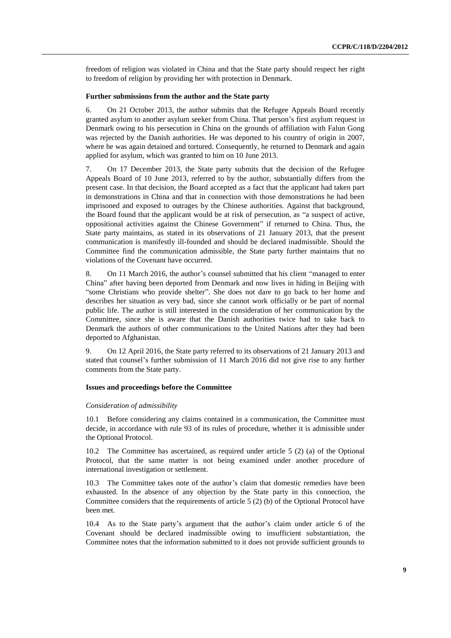freedom of religion was violated in China and that the State party should respect her right to freedom of religion by providing her with protection in Denmark.

### **Further submissions from the author and the State party**

6. On 21 October 2013, the author submits that the Refugee Appeals Board recently granted asylum to another asylum seeker from China. That person's first asylum request in Denmark owing to his persecution in China on the grounds of affiliation with Falun Gong was rejected by the Danish authorities. He was deported to his country of origin in 2007, where he was again detained and tortured. Consequently, he returned to Denmark and again applied for asylum, which was granted to him on 10 June 2013.

7. On 17 December 2013, the State party submits that the decision of the Refugee Appeals Board of 10 June 2013, referred to by the author, substantially differs from the present case. In that decision, the Board accepted as a fact that the applicant had taken part in demonstrations in China and that in connection with those demonstrations he had been imprisoned and exposed to outrages by the Chinese authorities. Against that background, the Board found that the applicant would be at risk of persecution, as "a suspect of active, oppositional activities against the Chinese Government" if returned to China. Thus, the State party maintains, as stated in its observations of 21 January 2013, that the present communication is manifestly ill-founded and should be declared inadmissible. Should the Committee find the communication admissible, the State party further maintains that no violations of the Covenant have occurred.

8. On 11 March 2016, the author's counsel submitted that his client "managed to enter China" after having been deported from Denmark and now lives in hiding in Beijing with "some Christians who provide shelter". She does not dare to go back to her home and describes her situation as very bad, since she cannot work officially or be part of normal public life. The author is still interested in the consideration of her communication by the Committee, since she is aware that the Danish authorities twice had to take back to Denmark the authors of other communications to the United Nations after they had been deported to Afghanistan.

9. On 12 April 2016, the State party referred to its observations of 21 January 2013 and stated that counsel's further submission of 11 March 2016 did not give rise to any further comments from the State party.

#### **Issues and proceedings before the Committee**

#### *Consideration of admissibility*

10.1 Before considering any claims contained in a communication, the Committee must decide, in accordance with rule 93 of its rules of procedure, whether it is admissible under the Optional Protocol.

10.2 The Committee has ascertained, as required under article 5 (2) (a) of the Optional Protocol, that the same matter is not being examined under another procedure of international investigation or settlement.

10.3 The Committee takes note of the author's claim that domestic remedies have been exhausted. In the absence of any objection by the State party in this connection, the Committee considers that the requirements of article 5 (2) (b) of the Optional Protocol have been met.

10.4 As to the State party's argument that the author's claim under article 6 of the Covenant should be declared inadmissible owing to insufficient substantiation, the Committee notes that the information submitted to it does not provide sufficient grounds to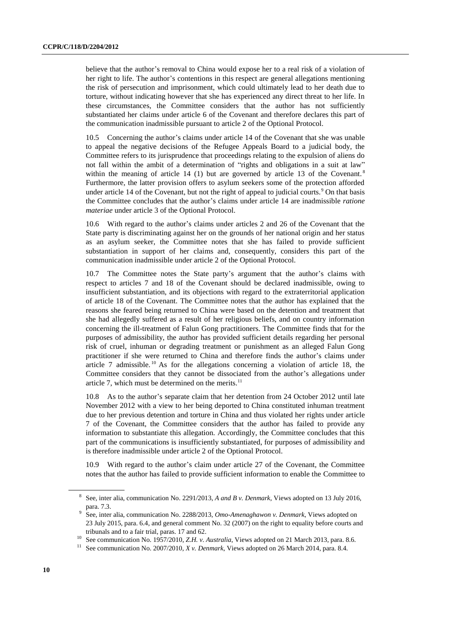believe that the author's removal to China would expose her to a real risk of a violation of her right to life. The author's contentions in this respect are general allegations mentioning the risk of persecution and imprisonment, which could ultimately lead to her death due to torture, without indicating however that she has experienced any direct threat to her life. In these circumstances, the Committee considers that the author has not sufficiently substantiated her claims under article 6 of the Covenant and therefore declares this part of the communication inadmissible pursuant to article 2 of the Optional Protocol.

10.5 Concerning the author's claims under article 14 of the Covenant that she was unable to appeal the negative decisions of the Refugee Appeals Board to a judicial body, the Committee refers to its jurisprudence that proceedings relating to the expulsion of aliens do not fall within the ambit of a determination of "rights and obligations in a suit at law" within the meaning of article  $14$  (1) but are governed by article 13 of the Covenant.<sup>8</sup> Furthermore, the latter provision offers to asylum seekers some of the protection afforded under article 14 of the Covenant, but not the right of appeal to judicial courts.<sup>9</sup> On that basis the Committee concludes that the author's claims under article 14 are inadmissible *ratione materiae* under article 3 of the Optional Protocol.

10.6 With regard to the author's claims under articles 2 and 26 of the Covenant that the State party is discriminating against her on the grounds of her national origin and her status as an asylum seeker, the Committee notes that she has failed to provide sufficient substantiation in support of her claims and, consequently, considers this part of the communication inadmissible under article 2 of the Optional Protocol.

10.7 The Committee notes the State party's argument that the author's claims with respect to articles 7 and 18 of the Covenant should be declared inadmissible, owing to insufficient substantiation, and its objections with regard to the extraterritorial application of article 18 of the Covenant. The Committee notes that the author has explained that the reasons she feared being returned to China were based on the detention and treatment that she had allegedly suffered as a result of her religious beliefs, and on country information concerning the ill-treatment of Falun Gong practitioners. The Committee finds that for the purposes of admissibility, the author has provided sufficient details regarding her personal risk of cruel, inhuman or degrading treatment or punishment as an alleged Falun Gong practitioner if she were returned to China and therefore finds the author's claims under article  $7$  admissible.<sup>10</sup> As for the allegations concerning a violation of article 18, the Committee considers that they cannot be dissociated from the author's allegations under article 7, which must be determined on the merits. $11$ 

10.8 As to the author's separate claim that her detention from 24 October 2012 until late November 2012 with a view to her being deported to China constituted inhuman treatment due to her previous detention and torture in China and thus violated her rights under article 7 of the Covenant, the Committee considers that the author has failed to provide any information to substantiate this allegation. Accordingly, the Committee concludes that this part of the communications is insufficiently substantiated, for purposes of admissibility and is therefore inadmissible under article 2 of the Optional Protocol.

10.9 With regard to the author's claim under article 27 of the Covenant, the Committee notes that the author has failed to provide sufficient information to enable the Committee to

<sup>8</sup> See, inter alia, communication No. 2291/2013, *A and B v. Denmark*, Views adopted on 13 July 2016, para. 7.3.

<sup>9</sup> See, inter alia, communication No. 2288/2013, *Omo-Amenaghawon v. Denmark*, Views adopted on 23 July 2015, para. 6.4, and general comment No. 32 (2007) on the right to equality before courts and tribunals and to a fair trial, paras. 17 and 62.

<sup>&</sup>lt;sup>10</sup> See communication No. 1957/2010, *Z.H. v. Australia*, Views adopted on 21 March 2013, para. 8.6.

<sup>11</sup> See communication No. 2007/2010, *X v. Denmark*, Views adopted on 26 March 2014, para. 8.4.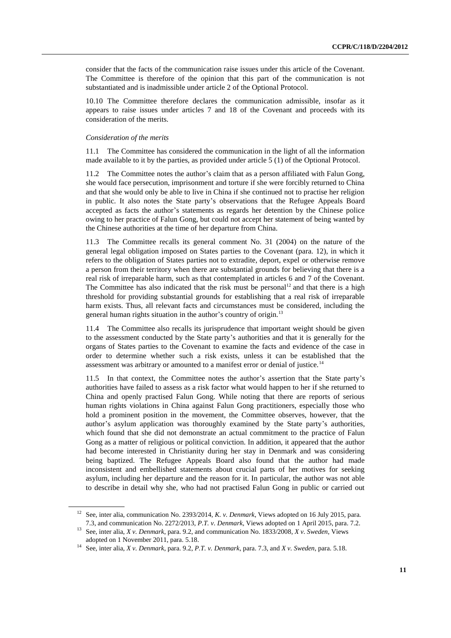consider that the facts of the communication raise issues under this article of the Covenant. The Committee is therefore of the opinion that this part of the communication is not substantiated and is inadmissible under article 2 of the Optional Protocol.

10.10 The Committee therefore declares the communication admissible, insofar as it appears to raise issues under articles 7 and 18 of the Covenant and proceeds with its consideration of the merits.

### *Consideration of the merits*

11.1 The Committee has considered the communication in the light of all the information made available to it by the parties, as provided under article 5 (1) of the Optional Protocol.

11.2 The Committee notes the author's claim that as a person affiliated with Falun Gong, she would face persecution, imprisonment and torture if she were forcibly returned to China and that she would only be able to live in China if she continued not to practise her religion in public. It also notes the State party's observations that the Refugee Appeals Board accepted as facts the author's statements as regards her detention by the Chinese police owing to her practice of Falun Gong, but could not accept her statement of being wanted by the Chinese authorities at the time of her departure from China.

11.3 The Committee recalls its general comment No. 31 (2004) on the nature of the general legal obligation imposed on States parties to the Covenant (para. 12), in which it refers to the obligation of States parties not to extradite, deport, expel or otherwise remove a person from their territory when there are substantial grounds for believing that there is a real risk of irreparable harm, such as that contemplated in articles 6 and 7 of the Covenant. The Committee has also indicated that the risk must be personal<sup>12</sup> and that there is a high threshold for providing substantial grounds for establishing that a real risk of irreparable harm exists. Thus, all relevant facts and circumstances must be considered, including the general human rights situation in the author's country of origin.<sup>13</sup>

11.4 The Committee also recalls its jurisprudence that important weight should be given to the assessment conducted by the State party's authorities and that it is generally for the organs of States parties to the Covenant to examine the facts and evidence of the case in order to determine whether such a risk exists, unless it can be established that the assessment was arbitrary or amounted to a manifest error or denial of justice.<sup>14</sup>

11.5 In that context, the Committee notes the author's assertion that the State party's authorities have failed to assess as a risk factor what would happen to her if she returned to China and openly practised Falun Gong. While noting that there are reports of serious human rights violations in China against Falun Gong practitioners, especially those who hold a prominent position in the movement, the Committee observes, however, that the author's asylum application was thoroughly examined by the State party's authorities, which found that she did not demonstrate an actual commitment to the practice of Falun Gong as a matter of religious or political conviction. In addition, it appeared that the author had become interested in Christianity during her stay in Denmark and was considering being baptized. The Refugee Appeals Board also found that the author had made inconsistent and embellished statements about crucial parts of her motives for seeking asylum, including her departure and the reason for it. In particular, the author was not able to describe in detail why she, who had not practised Falun Gong in public or carried out

<sup>12</sup> See, inter alia, communication No. 2393/2014, *K. v. Denmark*, Views adopted on 16 July 2015, para. 7.3, and communication No. 2272/2013, *P.T. v. Denmark*, Views adopted on 1 April 2015, para. 7.2.

<sup>13</sup> See, inter alia, *X v. Denmark*, para. 9.2, and communication No. 1833/2008*, X v. Sweden*, Views adopted on 1 November 2011, para. 5.18.

<sup>14</sup> See, inter alia, *X v. Denmark*, para. 9.2, *P.T. v. Denmark*, para. 7.3, and *X v. Sweden*, para. 5.18.